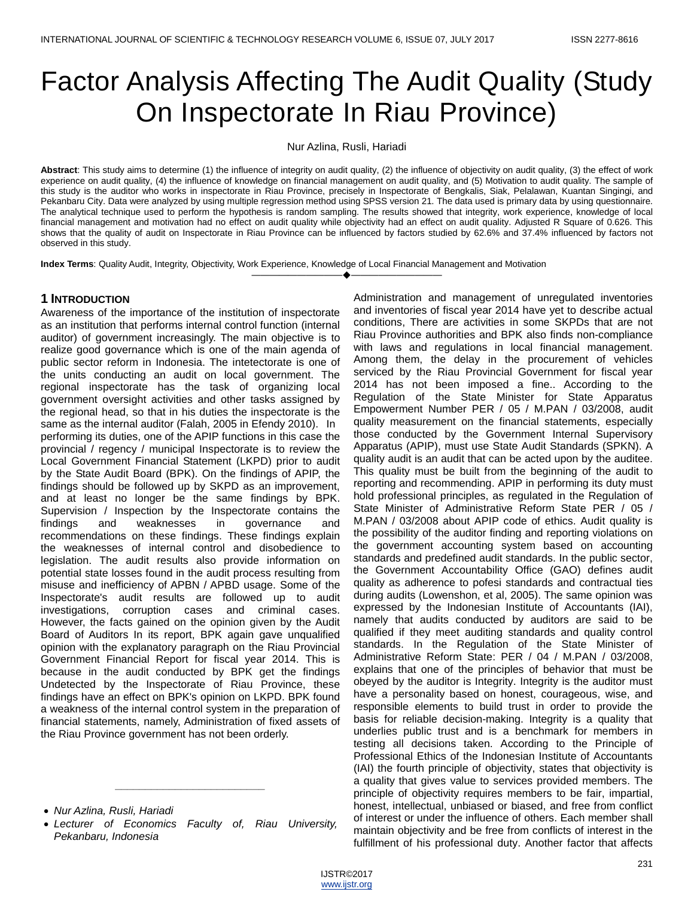# Factor Analysis Affecting The Audit Quality (Study On Inspectorate In Riau Province)

Nur Azlina, Rusli, Hariadi

Abstract: This study aims to determine (1) the influence of integrity on audit quality, (2) the influence of objectivity on audit quality, (3) the effect of work experience on audit quality, (4) the influence of knowledge on financial management on audit quality, and (5) Motivation to audit quality. The sample of this study is the auditor who works in inspectorate in Riau Province, precisely in Inspectorate of Bengkalis, Siak, Pelalawan, Kuantan Singingi, and Pekanbaru City. Data were analyzed by using multiple regression method using SPSS version 21. The data used is primary data by using questionnaire. The analytical technique used to perform the hypothesis is random sampling. The results showed that integrity, work experience, knowledge of local financial management and motivation had no effect on audit quality while objectivity had an effect on audit quality. Adjusted R Square of 0.626. This shows that the quality of audit on Inspectorate in Riau Province can be influenced by factors studied by 62.6% and 37.4% influenced by factors not observed in this study.

————————————————————

**Index Terms**: Quality Audit, Integrity, Objectivity, Work Experience, Knowledge of Local Financial Management and Motivation

## **1 INTRODUCTION**

Awareness of the importance of the institution of inspectorate as an institution that performs internal control function (internal auditor) of government increasingly. The main objective is to realize good governance which is one of the main agenda of public sector reform in Indonesia. The intetectorate is one of the units conducting an audit on local government. The regional inspectorate has the task of organizing local government oversight activities and other tasks assigned by the regional head, so that in his duties the inspectorate is the same as the internal auditor (Falah, 2005 in Efendy 2010). In performing its duties, one of the APIP functions in this case the provincial / regency / municipal Inspectorate is to review the Local Government Financial Statement (LKPD) prior to audit by the State Audit Board (BPK). On the findings of APIP, the findings should be followed up by SKPD as an improvement, and at least no longer be the same findings by BPK. Supervision / Inspection by the Inspectorate contains the findings and weaknesses in governance and recommendations on these findings. These findings explain the weaknesses of internal control and disobedience to legislation. The audit results also provide information on potential state losses found in the audit process resulting from misuse and inefficiency of APBN / APBD usage. Some of the Inspectorate's audit results are followed up to audit investigations, corruption cases and criminal cases. However, the facts gained on the opinion given by the Audit Board of Auditors In its report, BPK again gave unqualified opinion with the explanatory paragraph on the Riau Provincial Government Financial Report for fiscal year 2014. This is because in the audit conducted by BPK get the findings Undetected by the Inspectorate of Riau Province, these findings have an effect on BPK's opinion on LKPD. BPK found a weakness of the internal control system in the preparation of financial statements, namely, Administration of fixed assets of the Riau Province government has not been orderly.

*Nur Azlina, Rusli, Hariadi*

 *Lecturer of Economics Faculty of, Riau University, Pekanbaru, Indonesia*

*\_\_\_\_\_\_\_\_\_\_\_\_\_\_\_\_\_\_\_\_\_\_\_\_\_*

Administration and management of unregulated inventories and inventories of fiscal year 2014 have yet to describe actual conditions, There are activities in some SKPDs that are not Riau Province authorities and BPK also finds non-compliance with laws and regulations in local financial management. Among them, the delay in the procurement of vehicles serviced by the Riau Provincial Government for fiscal year 2014 has not been imposed a fine.. According to the Regulation of the State Minister for State Apparatus Empowerment Number PER / 05 / M.PAN / 03/2008, audit quality measurement on the financial statements, especially those conducted by the Government Internal Supervisory Apparatus (APIP), must use State Audit Standards (SPKN). A quality audit is an audit that can be acted upon by the auditee. This quality must be built from the beginning of the audit to reporting and recommending. APIP in performing its duty must hold professional principles, as regulated in the Regulation of State Minister of Administrative Reform State PER / 05 / M.PAN / 03/2008 about APIP code of ethics. Audit quality is the possibility of the auditor finding and reporting violations on the government accounting system based on accounting standards and predefined audit standards. In the public sector, the Government Accountability Office (GAO) defines audit quality as adherence to pofesi standards and contractual ties during audits (Lowenshon, et al, 2005). The same opinion was expressed by the Indonesian Institute of Accountants (IAI), namely that audits conducted by auditors are said to be qualified if they meet auditing standards and quality control standards. In the Regulation of the State Minister of Administrative Reform State: PER / 04 / M.PAN / 03/2008, explains that one of the principles of behavior that must be obeyed by the auditor is Integrity. Integrity is the auditor must have a personality based on honest, courageous, wise, and responsible elements to build trust in order to provide the basis for reliable decision-making. Integrity is a quality that underlies public trust and is a benchmark for members in testing all decisions taken. According to the Principle of Professional Ethics of the Indonesian Institute of Accountants (IAI) the fourth principle of objectivity, states that objectivity is a quality that gives value to services provided members. The principle of objectivity requires members to be fair, impartial, honest, intellectual, unbiased or biased, and free from conflict of interest or under the influence of others. Each member shall maintain objectivity and be free from conflicts of interest in the fulfillment of his professional duty. Another factor that affects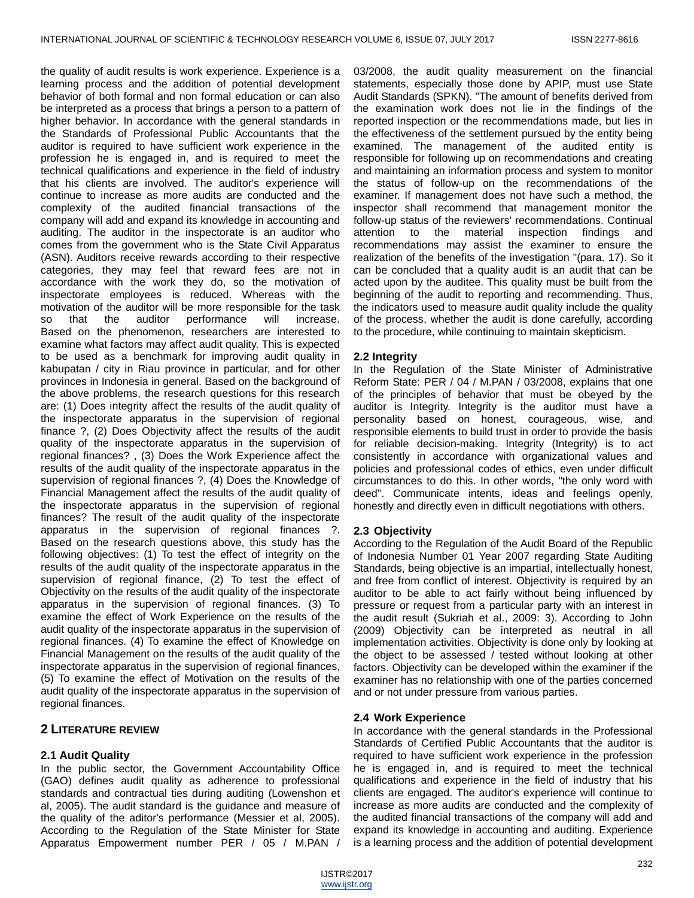the quality of audit results is work experience. Experience is a learning process and the addition of potential development behavior of both formal and non formal education or can also be interpreted as a process that brings a person to a pattern of higher behavior. In accordance with the general standards in the Standards of Professional Public Accountants that the auditor is required to have sufficient work experience in the profession he is engaged in, and is required to meet the technical qualifications and experience in the field of industry that his clients are involved. The auditor's experience will continue to increase as more audits are conducted and the complexity of the audited financial transactions of the company will add and expand its knowledge in accounting and auditing. The auditor in the inspectorate is an auditor who comes from the government who is the State Civil Apparatus (ASN). Auditors receive rewards according to their respective categories, they may feel that reward fees are not in accordance with the work they do, so the motivation of inspectorate employees is reduced. Whereas with the motivation of the auditor will be more responsible for the task so that the auditor performance will increase. Based on the phenomenon, researchers are interested to examine what factors may affect audit quality. This is expected to be used as a benchmark for improving audit quality in kabupatan / city in Riau province in particular, and for other provinces in Indonesia in general. Based on the background of the above problems, the research questions for this research are: (1) Does integrity affect the results of the audit quality of the inspectorate apparatus in the supervision of regional finance ?, (2) Does Objectivity affect the results of the audit quality of the inspectorate apparatus in the supervision of regional finances? , (3) Does the Work Experience affect the results of the audit quality of the inspectorate apparatus in the supervision of regional finances ?, (4) Does the Knowledge of Financial Management affect the results of the audit quality of the inspectorate apparatus in the supervision of regional finances? The result of the audit quality of the inspectorate apparatus in the supervision of regional finances ?. Based on the research questions above, this study has the following objectives: (1) To test the effect of integrity on the results of the audit quality of the inspectorate apparatus in the supervision of regional finance, (2) To test the effect of Objectivity on the results of the audit quality of the inspectorate apparatus in the supervision of regional finances. (3) To examine the effect of Work Experience on the results of the audit quality of the inspectorate apparatus in the supervision of regional finances. (4) To examine the effect of Knowledge on Financial Management on the results of the audit quality of the inspectorate apparatus in the supervision of regional finances, (5) To examine the effect of Motivation on the results of the audit quality of the inspectorate apparatus in the supervision of regional finances.

## **2 LITERATURE REVIEW**

## **2.1 Audit Quality**

In the public sector, the Government Accountability Office (GAO) defines audit quality as adherence to professional standards and contractual ties during auditing (Lowenshon et al, 2005). The audit standard is the guidance and measure of the quality of the aditor's performance (Messier et al, 2005). According to the Regulation of the State Minister for State Apparatus Empowerment number PER / 05 / M.PAN / 03/2008, the audit quality measurement on the financial statements, especially those done by APIP, must use State Audit Standards (SPKN). "The amount of benefits derived from the examination work does not lie in the findings of the reported inspection or the recommendations made, but lies in the effectiveness of the settlement pursued by the entity being examined. The management of the audited entity is responsible for following up on recommendations and creating and maintaining an information process and system to monitor the status of follow-up on the recommendations of the examiner. If management does not have such a method, the inspector shall recommend that management monitor the follow-up status of the reviewers' recommendations. Continual attention to the material inspection findings and recommendations may assist the examiner to ensure the realization of the benefits of the investigation "(para. 17). So it can be concluded that a quality audit is an audit that can be acted upon by the auditee. This quality must be built from the beginning of the audit to reporting and recommending. Thus, the indicators used to measure audit quality include the quality of the process, whether the audit is done carefully, according to the procedure, while continuing to maintain skepticism.

#### **2.2 Integrity**

In the Regulation of the State Minister of Administrative Reform State: PER / 04 / M.PAN / 03/2008, explains that one of the principles of behavior that must be obeyed by the auditor is Integrity. Integrity is the auditor must have a personality based on honest, courageous, wise, and responsible elements to build trust in order to provide the basis for reliable decision-making. Integrity (Integrity) is to act consistently in accordance with organizational values and policies and professional codes of ethics, even under difficult circumstances to do this. In other words, "the only word with deed". Communicate intents, ideas and feelings openly, honestly and directly even in difficult negotiations with others.

#### **2.3 Objectivity**

According to the Regulation of the Audit Board of the Republic of Indonesia Number 01 Year 2007 regarding State Auditing Standards, being objective is an impartial, intellectually honest, and free from conflict of interest. Objectivity is required by an auditor to be able to act fairly without being influenced by pressure or request from a particular party with an interest in the audit result (Sukriah et al., 2009: 3). According to John (2009) Objectivity can be interpreted as neutral in all implementation activities. Objectivity is done only by looking at the object to be assessed / tested without looking at other factors. Objectivity can be developed within the examiner if the examiner has no relationship with one of the parties concerned and or not under pressure from various parties.

#### **2.4 Work Experience**

In accordance with the general standards in the Professional Standards of Certified Public Accountants that the auditor is required to have sufficient work experience in the profession he is engaged in, and is required to meet the technical qualifications and experience in the field of industry that his clients are engaged. The auditor's experience will continue to increase as more audits are conducted and the complexity of the audited financial transactions of the company will add and expand its knowledge in accounting and auditing. Experience is a learning process and the addition of potential development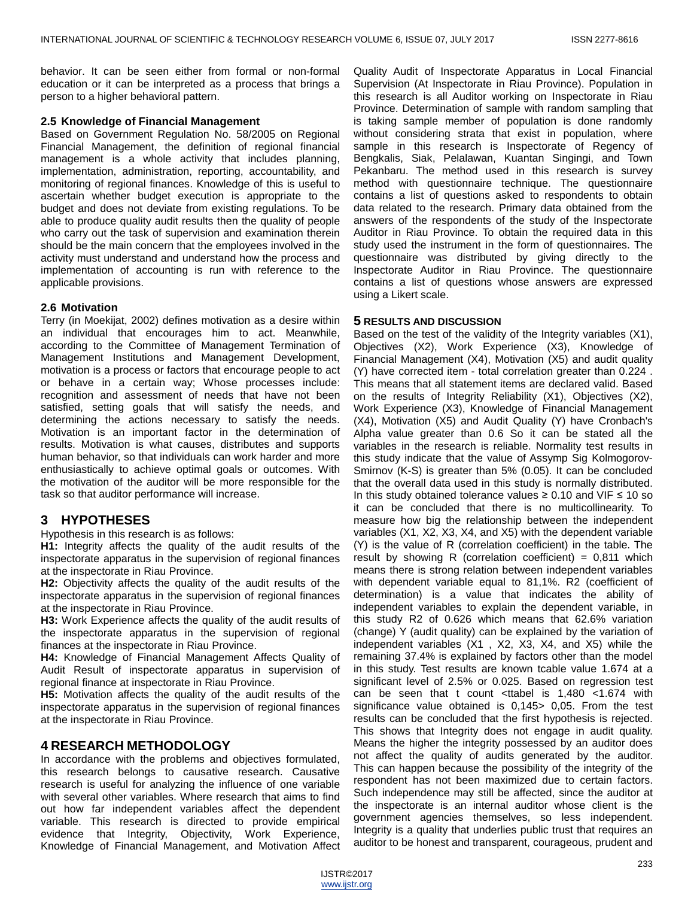behavior. It can be seen either from formal or non-formal education or it can be interpreted as a process that brings a person to a higher behavioral pattern.

#### **2.5 Knowledge of Financial Management**

Based on Government Regulation No. 58/2005 on Regional Financial Management, the definition of regional financial management is a whole activity that includes planning, implementation, administration, reporting, accountability, and monitoring of regional finances. Knowledge of this is useful to ascertain whether budget execution is appropriate to the budget and does not deviate from existing regulations. To be able to produce quality audit results then the quality of people who carry out the task of supervision and examination therein should be the main concern that the employees involved in the activity must understand and understand how the process and implementation of accounting is run with reference to the applicable provisions.

#### **2.6 Motivation**

Terry (in Moekijat, 2002) defines motivation as a desire within an individual that encourages him to act. Meanwhile, according to the Committee of Management Termination of Management Institutions and Management Development, motivation is a process or factors that encourage people to act or behave in a certain way; Whose processes include: recognition and assessment of needs that have not been satisfied, setting goals that will satisfy the needs, and determining the actions necessary to satisfy the needs. Motivation is an important factor in the determination of results. Motivation is what causes, distributes and supports human behavior, so that individuals can work harder and more enthusiastically to achieve optimal goals or outcomes. With the motivation of the auditor will be more responsible for the task so that auditor performance will increase.

## **3 HYPOTHESES**

Hypothesis in this research is as follows:

**H1:** Integrity affects the quality of the audit results of the inspectorate apparatus in the supervision of regional finances at the inspectorate in Riau Province.

**H2:** Objectivity affects the quality of the audit results of the inspectorate apparatus in the supervision of regional finances at the inspectorate in Riau Province.

**H3:** Work Experience affects the quality of the audit results of the inspectorate apparatus in the supervision of regional finances at the inspectorate in Riau Province.

**H4:** Knowledge of Financial Management Affects Quality of Audit Result of inspectorate apparatus in supervision of regional finance at inspectorate in Riau Province.

**H5:** Motivation affects the quality of the audit results of the inspectorate apparatus in the supervision of regional finances at the inspectorate in Riau Province.

## **4 RESEARCH METHODOLOGY**

In accordance with the problems and objectives formulated, this research belongs to causative research. Causative research is useful for analyzing the influence of one variable with several other variables. Where research that aims to find out how far independent variables affect the dependent variable. This research is directed to provide empirical evidence that Integrity, Objectivity, Work Experience, Knowledge of Financial Management, and Motivation Affect Quality Audit of Inspectorate Apparatus in Local Financial Supervision (At Inspectorate in Riau Province). Population in this research is all Auditor working on Inspectorate in Riau Province. Determination of sample with random sampling that is taking sample member of population is done randomly without considering strata that exist in population, where sample in this research is Inspectorate of Regency of Bengkalis, Siak, Pelalawan, Kuantan Singingi, and Town Pekanbaru. The method used in this research is survey method with questionnaire technique. The questionnaire contains a list of questions asked to respondents to obtain data related to the research. Primary data obtained from the answers of the respondents of the study of the Inspectorate Auditor in Riau Province. To obtain the required data in this study used the instrument in the form of questionnaires. The questionnaire was distributed by giving directly to the Inspectorate Auditor in Riau Province. The questionnaire contains a list of questions whose answers are expressed using a Likert scale.

#### **5 RESULTS AND DISCUSSION**

Based on the test of the validity of the Integrity variables (X1), Objectives (X2), Work Experience (X3), Knowledge of Financial Management (X4), Motivation (X5) and audit quality (Y) have corrected item - total correlation greater than 0.224 . This means that all statement items are declared valid. Based on the results of Integrity Reliability (X1), Objectives (X2), Work Experience (X3), Knowledge of Financial Management (X4), Motivation (X5) and Audit Quality (Y) have Cronbach's Alpha value greater than 0.6 So it can be stated all the variables in the research is reliable. Normality test results in this study indicate that the value of Assymp Sig Kolmogorov-Smirnov (K-S) is greater than 5% (0.05). It can be concluded that the overall data used in this study is normally distributed. In this study obtained tolerance values ≥ 0.10 and VIF ≤ 10 so it can be concluded that there is no multicollinearity. To measure how big the relationship between the independent variables (X1, X2, X3, X4, and X5) with the dependent variable (Y) is the value of R (correlation coefficient) in the table. The result by showing R (correlation coefficient) =  $0,811$  which means there is strong relation between independent variables with dependent variable equal to 81,1%. R2 (coefficient of determination) is a value that indicates the ability of independent variables to explain the dependent variable, in this study R2 of 0.626 which means that 62.6% variation (change) Y (audit quality) can be explained by the variation of independent variables (X1 , X2, X3, X4, and X5) while the remaining 37.4% is explained by factors other than the model in this study. Test results are known tcable value 1.674 at a significant level of 2.5% or 0.025. Based on regression test can be seen that t count <ttabel is 1,480 <1.674 with significance value obtained is 0,145> 0,05. From the test results can be concluded that the first hypothesis is rejected. This shows that Integrity does not engage in audit quality. Means the higher the integrity possessed by an auditor does not affect the quality of audits generated by the auditor. This can happen because the possibility of the integrity of the respondent has not been maximized due to certain factors. Such independence may still be affected, since the auditor at the inspectorate is an internal auditor whose client is the government agencies themselves, so less independent. Integrity is a quality that underlies public trust that requires an auditor to be honest and transparent, courageous, prudent and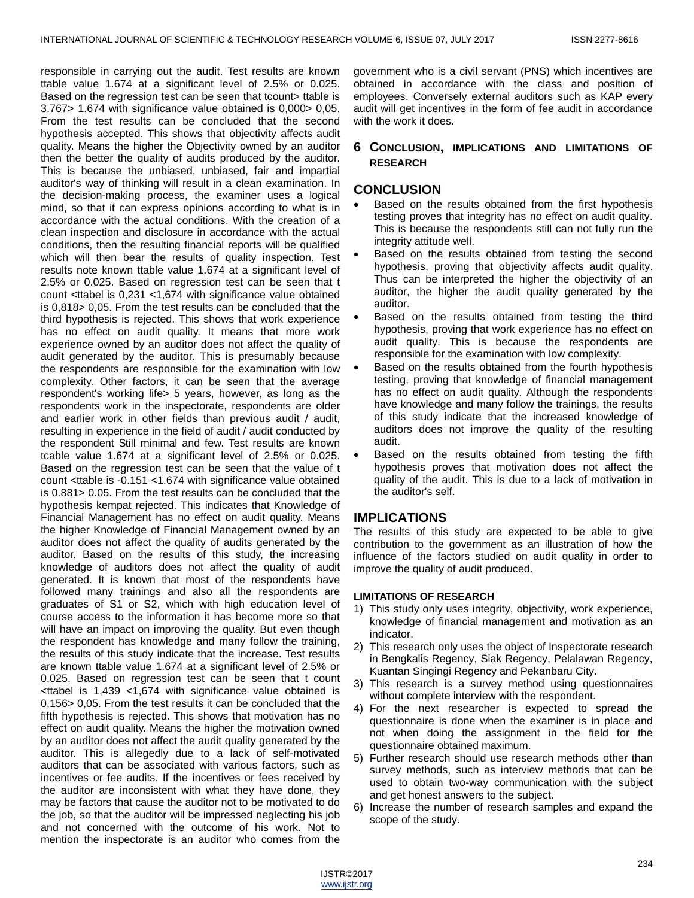responsible in carrying out the audit. Test results are known ttable value 1.674 at a significant level of 2.5% or 0.025. Based on the regression test can be seen that tcount> ttable is 3.767> 1.674 with significance value obtained is 0,000> 0,05. From the test results can be concluded that the second hypothesis accepted. This shows that objectivity affects audit quality. Means the higher the Objectivity owned by an auditor then the better the quality of audits produced by the auditor. This is because the unbiased, unbiased, fair and impartial auditor's way of thinking will result in a clean examination. In the decision-making process, the examiner uses a logical mind, so that it can express opinions according to what is in accordance with the actual conditions. With the creation of a clean inspection and disclosure in accordance with the actual conditions, then the resulting financial reports will be qualified which will then bear the results of quality inspection. Test results note known ttable value 1.674 at a significant level of 2.5% or 0.025. Based on regression test can be seen that t count <ttabel is 0,231 <1,674 with significance value obtained is 0,818> 0,05. From the test results can be concluded that the third hypothesis is rejected. This shows that work experience has no effect on audit quality. It means that more work experience owned by an auditor does not affect the quality of audit generated by the auditor. This is presumably because the respondents are responsible for the examination with low complexity. Other factors, it can be seen that the average respondent's working life> 5 years, however, as long as the respondents work in the inspectorate, respondents are older and earlier work in other fields than previous audit / audit, resulting in experience in the field of audit / audit conducted by the respondent Still minimal and few. Test results are known tcable value 1.674 at a significant level of 2.5% or 0.025. Based on the regression test can be seen that the value of t count <ttable is -0.151 <1.674 with significance value obtained is 0.881> 0.05. From the test results can be concluded that the hypothesis kempat rejected. This indicates that Knowledge of Financial Management has no effect on audit quality. Means the higher Knowledge of Financial Management owned by an auditor does not affect the quality of audits generated by the auditor. Based on the results of this study, the increasing knowledge of auditors does not affect the quality of audit generated. It is known that most of the respondents have followed many trainings and also all the respondents are graduates of S1 or S2, which with high education level of course access to the information it has become more so that will have an impact on improving the quality. But even though the respondent has knowledge and many follow the training, the results of this study indicate that the increase. Test results are known ttable value 1.674 at a significant level of 2.5% or 0.025. Based on regression test can be seen that t count <ttabel is 1,439 <1,674 with significance value obtained is 0,156> 0,05. From the test results it can be concluded that the fifth hypothesis is rejected. This shows that motivation has no effect on audit quality. Means the higher the motivation owned by an auditor does not affect the audit quality generated by the auditor. This is allegedly due to a lack of self-motivated auditors that can be associated with various factors, such as incentives or fee audits. If the incentives or fees received by the auditor are inconsistent with what they have done, they may be factors that cause the auditor not to be motivated to do the job, so that the auditor will be impressed neglecting his job and not concerned with the outcome of his work. Not to mention the inspectorate is an auditor who comes from the

government who is a civil servant (PNS) which incentives are obtained in accordance with the class and position of employees. Conversely external auditors such as KAP every audit will get incentives in the form of fee audit in accordance with the work it does.

#### **6 CONCLUSION, IMPLICATIONS AND LIMITATIONS OF RESEARCH**

# **CONCLUSION**

- Based on the results obtained from the first hypothesis testing proves that integrity has no effect on audit quality. This is because the respondents still can not fully run the integrity attitude well.
- Based on the results obtained from testing the second hypothesis, proving that objectivity affects audit quality. Thus can be interpreted the higher the objectivity of an auditor, the higher the audit quality generated by the auditor.
- Based on the results obtained from testing the third hypothesis, proving that work experience has no effect on audit quality. This is because the respondents are responsible for the examination with low complexity.
- Based on the results obtained from the fourth hypothesis testing, proving that knowledge of financial management has no effect on audit quality. Although the respondents have knowledge and many follow the trainings, the results of this study indicate that the increased knowledge of auditors does not improve the quality of the resulting audit.
- Based on the results obtained from testing the fifth hypothesis proves that motivation does not affect the quality of the audit. This is due to a lack of motivation in the auditor's self.

# **IMPLICATIONS**

The results of this study are expected to be able to give contribution to the government as an illustration of how the influence of the factors studied on audit quality in order to improve the quality of audit produced.

#### **LIMITATIONS OF RESEARCH**

- 1) This study only uses integrity, objectivity, work experience, knowledge of financial management and motivation as an indicator.
- 2) This research only uses the object of Inspectorate research in Bengkalis Regency, Siak Regency, Pelalawan Regency, Kuantan Singingi Regency and Pekanbaru City.
- 3) This research is a survey method using questionnaires without complete interview with the respondent.
- 4) For the next researcher is expected to spread the questionnaire is done when the examiner is in place and not when doing the assignment in the field for the questionnaire obtained maximum.
- 5) Further research should use research methods other than survey methods, such as interview methods that can be used to obtain two-way communication with the subject and get honest answers to the subject.
- 6) Increase the number of research samples and expand the scope of the study.